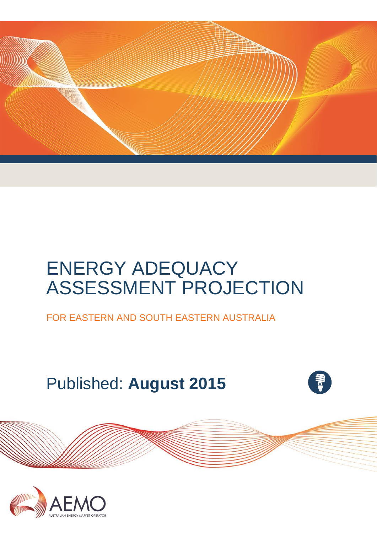

# ENERGY ADEQUACY ASSESSMENT PROJECTION

FOR EASTERN AND SOUTH EASTERN AUSTRALIA

Published: **August 2015**



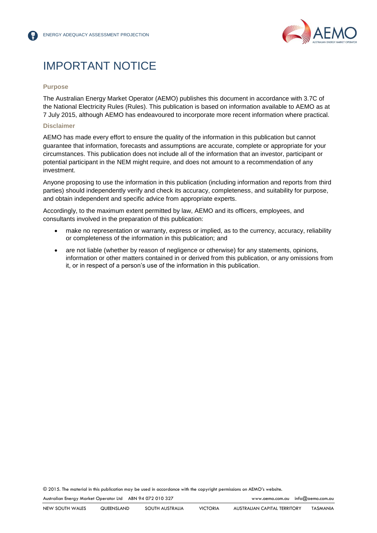

## IMPORTANT NOTICE

#### **Purpose**

The Australian Energy Market Operator (AEMO) publishes this document in accordance with 3.7C of the National Electricity Rules (Rules). This publication is based on information available to AEMO as at 7 July 2015, although AEMO has endeavoured to incorporate more recent information where practical.

#### **Disclaimer**

AEMO has made every effort to ensure the quality of the information in this publication but cannot guarantee that information, forecasts and assumptions are accurate, complete or appropriate for your circumstances. This publication does not include all of the information that an investor, participant or potential participant in the NEM might require, and does not amount to a recommendation of any investment.

Anyone proposing to use the information in this publication (including information and reports from third parties) should independently verify and check its accuracy, completeness, and suitability for purpose, and obtain independent and specific advice from appropriate experts.

Accordingly, to the maximum extent permitted by law, AEMO and its officers, employees, and consultants involved in the preparation of this publication:

- make no representation or warranty, express or implied, as to the currency, accuracy, reliability or completeness of the information in this publication; and
- are not liable (whether by reason of negligence or otherwise) for any statements, opinions, information or other matters contained in or derived from this publication, or any omissions from it, or in respect of a person's use of the information in this publication.

© 2015. The material in this publication may be used in accordance with the [copyright permissions](http://www.aemo.com.au/en/About-AEMO/Copyright-Permissions) on AEMO's website.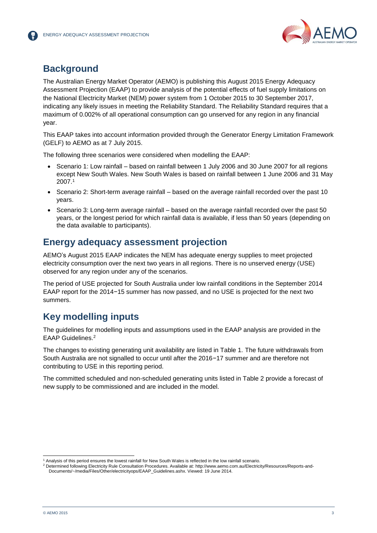

## **Background**

The Australian Energy Market Operator (AEMO) is publishing this August 2015 Energy Adequacy Assessment Projection (EAAP) to provide analysis of the potential effects of fuel supply limitations on the National Electricity Market (NEM) power system from 1 October 2015 to 30 September 2017, indicating any likely issues in meeting the Reliability Standard. The Reliability Standard requires that a maximum of 0.002% of all operational consumption can go unserved for any region in any financial year.

This EAAP takes into account information provided through the Generator Energy Limitation Framework (GELF) to AEMO as at 7 July 2015.

The following three scenarios were considered when modelling the EAAP:

- Scenario 1: Low rainfall based on rainfall between 1 July 2006 and 30 June 2007 for all regions except New South Wales. New South Wales is based on rainfall between 1 June 2006 and 31 May 2007.<sup>1</sup>
- Scenario 2: Short-term average rainfall based on the average rainfall recorded over the past 10 years.
- Scenario 3: Long-term average rainfall based on the average rainfall recorded over the past 50 years, or the longest period for which rainfall data is available, if less than 50 years (depending on the data available to participants).

## **Energy adequacy assessment projection**

AEMO's August 2015 EAAP indicates the NEM has adequate energy supplies to meet projected electricity consumption over the next two years in all regions. There is no unserved energy (USE) observed for any region under any of the scenarios.

The period of USE projected for South Australia under low rainfall conditions in the September 2014 EAAP report for the 2014−15 summer has now passed, and no USE is projected for the next two summers.

## **Key modelling inputs**

The guidelines for modelling inputs and assumptions used in the EAAP analysis are provided in the EAAP Guidelines.<sup>2</sup>

The changes to existing generating unit availability are listed in Table 1. The future withdrawals from South Australia are not signalled to occur until after the 2016−17 summer and are therefore not contributing to USE in this reporting period.

The committed scheduled and non-scheduled generating units listed in Table 2 provide a forecast of new supply to be commissioned and are included in the model.

l

<sup>1</sup> Analysis of this period ensures the lowest rainfall for New South Wales is reflected in the low rainfall scenario.

<sup>2</sup> Determined following Electricity Rule Consultation Procedures. Available at[: http://www.aemo.com.au/Electricity/Resources/Reports-and-](http://www.aemo.com.au/Electricity/Resources/Reports-and-Documents/~/media/Files/Other/electricityops/EAAP_Guidelines.ashx)[Documents/~/media/Files/Other/electricityops/EAAP\\_Guidelines.ashx.](http://www.aemo.com.au/Electricity/Resources/Reports-and-Documents/~/media/Files/Other/electricityops/EAAP_Guidelines.ashx) Viewed: 19 June 2014.